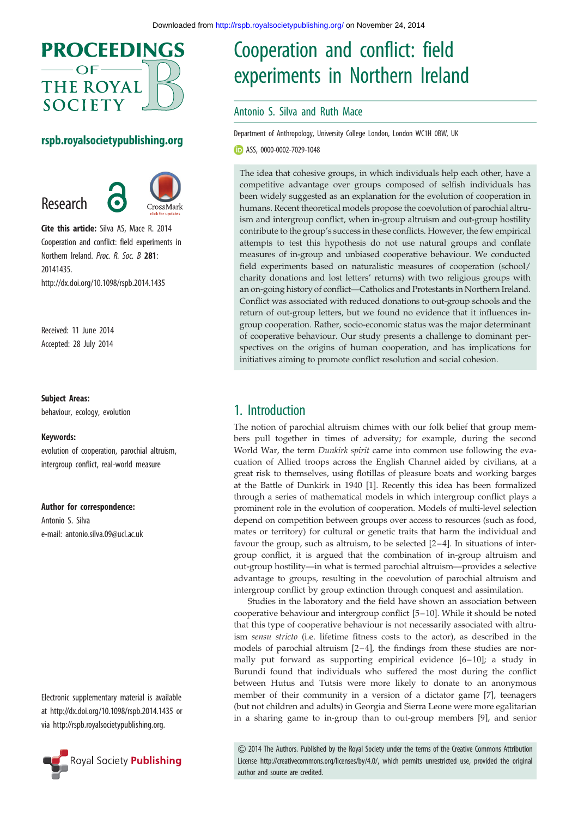

# rspb.royalsocietypublishing.org



Cite this article: Silva AS, Mace R. 2014 Cooperation and conflict: field experiments in Northern Ireland. Proc. R. Soc. B 281: 20141435. http://dx.doi.org/10.1098/rspb.2014.1435

Received: 11 June 2014 Accepted: 28 July 2014

### Subject Areas:

behaviour, ecology, evolution

#### Keywords:

evolution of cooperation, parochial altruism, intergroup conflict, real-world measure

### Author for correspondence:

Antonio S. Silva e-mail: [antonio.silva.09@ucl.ac.uk](mailto:antonio.silva.09@ucl.ac.uk)

Electronic supplementary material is available at<http://dx.doi.org/10.1098/rspb.2014.1435> or via<http://rspb.royalsocietypublishing.org>.



# Cooperation and conflict: field experiments in Northern Ireland

### Antonio S. Silva and Ruth Mace

Department of Anthropology, University College London, London WC1H 0BW, UK

ASS, [0000-0002-7029-1048](http://orcid.org/0000-0002-7029-1048)

The idea that cohesive groups, in which individuals help each other, have a competitive advantage over groups composed of selfish individuals has been widely suggested as an explanation for the evolution of cooperation in humans. Recent theoretical models propose the coevolution of parochial altruism and intergroup conflict, when in-group altruism and out-group hostility contribute to the group's success in these conflicts. However, the few empirical attempts to test this hypothesis do not use natural groups and conflate measures of in-group and unbiased cooperative behaviour. We conducted field experiments based on naturalistic measures of cooperation (school/ charity donations and lost letters' returns) with two religious groups with an on-going history of conflict—Catholics and Protestants in Northern Ireland. Conflict was associated with reduced donations to out-group schools and the return of out-group letters, but we found no evidence that it influences ingroup cooperation. Rather, socio-economic status was the major determinant of cooperative behaviour. Our study presents a challenge to dominant perspectives on the origins of human cooperation, and has implications for initiatives aiming to promote conflict resolution and social cohesion.

# 1. Introduction

The notion of parochial altruism chimes with our folk belief that group members pull together in times of adversity; for example, during the second World War, the term Dunkirk spirit came into common use following the evacuation of Allied troops across the English Channel aided by civilians, at a great risk to themselves, using flotillas of pleasure boats and working barges at the Battle of Dunkirk in 1940 [[1](#page-6-0)]. Recently this idea has been formalized through a series of mathematical models in which intergroup conflict plays a prominent role in the evolution of cooperation. Models of multi-level selection depend on competition between groups over access to resources (such as food, mates or territory) for cultural or genetic traits that harm the individual and favour the group, such as altruism, to be selected  $[2-4]$  $[2-4]$  $[2-4]$  $[2-4]$  $[2-4]$ . In situations of intergroup conflict, it is argued that the combination of in-group altruism and out-group hostility—in what is termed parochial altruism—provides a selective advantage to groups, resulting in the coevolution of parochial altruism and intergroup conflict by group extinction through conquest and assimilation.

Studies in the laboratory and the field have shown an association between cooperative behaviour and intergroup conflict [[5](#page-6-0)– [10](#page-6-0)]. While it should be noted that this type of cooperative behaviour is not necessarily associated with altruism sensu stricto (i.e. lifetime fitness costs to the actor), as described in the models of parochial altruism [\[2](#page-6-0)–[4\]](#page-6-0), the findings from these studies are normally put forward as supporting empirical evidence [\[6](#page-6-0)–[10\]](#page-6-0); a study in Burundi found that individuals who suffered the most during the conflict between Hutus and Tutsis were more likely to donate to an anonymous member of their community in a version of a dictator game [\[7\]](#page-6-0), teenagers (but not children and adults) in Georgia and Sierra Leone were more egalitarian in a sharing game to in-group than to out-group members [\[9\]](#page-6-0), and senior

& 2014 The Authors. Published by the Royal Society under the terms of the Creative Commons Attribution License http://creativecommons.org/licenses/by/4.0/, which permits unrestricted use, provided the original author and source are credited.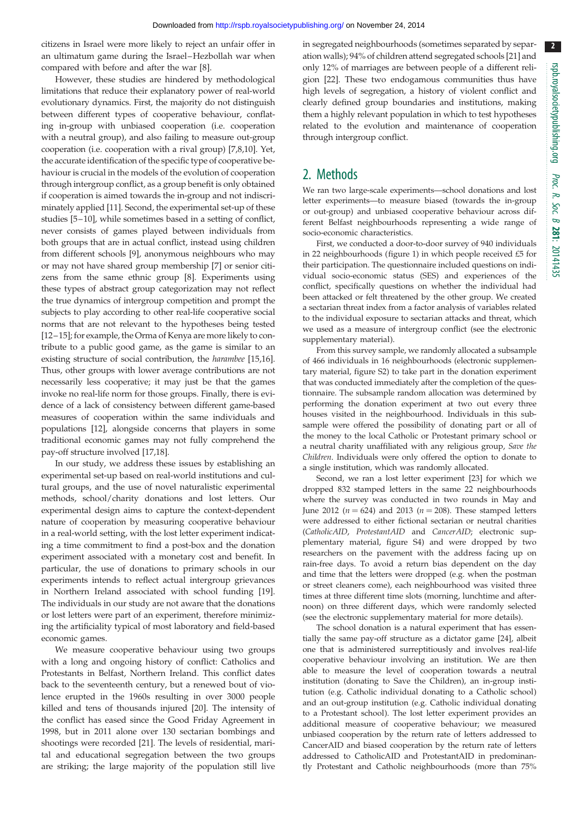2

citizens in Israel were more likely to reject an unfair offer in an ultimatum game during the Israel–Hezbollah war when compared with before and after the war [[8](#page-6-0)].

However, these studies are hindered by methodological limitations that reduce their explanatory power of real-world evolutionary dynamics. First, the majority do not distinguish between different types of cooperative behaviour, conflating in-group with unbiased cooperation (i.e. cooperation with a neutral group), and also failing to measure out-group cooperation (i.e. cooperation with a rival group) [\[7,8,10](#page-6-0)]. Yet, the accurate identification of the specific type of cooperative behaviour is crucial in the models of the evolution of cooperation through intergroup conflict, as a group benefit is only obtained if cooperation is aimed towards the in-group and not indiscriminately applied [[11\]](#page-6-0). Second, the experimental set-up of these studies [\[5](#page-6-0)–[10](#page-6-0)], while sometimes based in a setting of conflict, never consists of games played between individuals from both groups that are in actual conflict, instead using children from different schools [\[9](#page-6-0)], anonymous neighbours who may or may not have shared group membership [[7](#page-6-0)] or senior citizens from the same ethnic group [[8](#page-6-0)]. Experiments using these types of abstract group categorization may not reflect the true dynamics of intergroup competition and prompt the subjects to play according to other real-life cooperative social norms that are not relevant to the hypotheses being tested [\[12](#page-6-0)–[15](#page-6-0)]; for example, the Orma of Kenya are more likely to contribute to a public good game, as the game is similar to an existing structure of social contribution, the harambee [\[15,16](#page-6-0)]. Thus, other groups with lower average contributions are not necessarily less cooperative; it may just be that the games invoke no real-life norm for those groups. Finally, there is evidence of a lack of consistency between different game-based measures of cooperation within the same individuals and populations [[12\]](#page-6-0), alongside concerns that players in some traditional economic games may not fully comprehend the pay-off structure involved [\[17](#page-6-0),[18](#page-7-0)].

In our study, we address these issues by establishing an experimental set-up based on real-world institutions and cultural groups, and the use of novel naturalistic experimental methods, school/charity donations and lost letters. Our experimental design aims to capture the context-dependent nature of cooperation by measuring cooperative behaviour in a real-world setting, with the lost letter experiment indicating a time commitment to find a post-box and the donation experiment associated with a monetary cost and benefit. In particular, the use of donations to primary schools in our experiments intends to reflect actual intergroup grievances in Northern Ireland associated with school funding [\[19](#page-7-0)]. The individuals in our study are not aware that the donations or lost letters were part of an experiment, therefore minimizing the artificiality typical of most laboratory and field-based economic games.

We measure cooperative behaviour using two groups with a long and ongoing history of conflict: Catholics and Protestants in Belfast, Northern Ireland. This conflict dates back to the seventeenth century, but a renewed bout of violence erupted in the 1960s resulting in over 3000 people killed and tens of thousands injured [\[20](#page-7-0)]. The intensity of the conflict has eased since the Good Friday Agreement in 1998, but in 2011 alone over 130 sectarian bombings and shootings were recorded [[21\]](#page-7-0). The levels of residential, marital and educational segregation between the two groups are striking; the large majority of the population still live

in segregated neighbourhoods (sometimes separated by separation walls); 94% of children attend segregated schools [\[21](#page-7-0)] and only 12% of marriages are between people of a different religion [[22\]](#page-7-0). These two endogamous communities thus have high levels of segregation, a history of violent conflict and clearly defined group boundaries and institutions, making them a highly relevant population in which to test hypotheses related to the evolution and maintenance of cooperation through intergroup conflict.

# 2. Methods

We ran two large-scale experiments—school donations and lost letter experiments—to measure biased (towards the in-group or out-group) and unbiased cooperative behaviour across different Belfast neighbourhoods representing a wide range of socio-economic characteristics.

First, we conducted a door-to-door survey of 940 individuals in 22 neighbourhoods [\(figure 1\)](#page-2-0) in which people received £5 for their participation. The questionnaire included questions on individual socio-economic status (SES) and experiences of the conflict, specifically questions on whether the individual had been attacked or felt threatened by the other group. We created a sectarian threat index from a factor analysis of variables related to the individual exposure to sectarian attacks and threat, which we used as a measure of intergroup conflict (see the electronic supplementary material).

From this survey sample, we randomly allocated a subsample of 466 individuals in 16 neighbourhoods (electronic supplementary material, figure S2) to take part in the donation experiment that was conducted immediately after the completion of the questionnaire. The subsample random allocation was determined by performing the donation experiment at two out every three houses visited in the neighbourhood. Individuals in this subsample were offered the possibility of donating part or all of the money to the local Catholic or Protestant primary school or a neutral charity unaffiliated with any religious group, Save the Children. Individuals were only offered the option to donate to a single institution, which was randomly allocated.

Second, we ran a lost letter experiment [[23](#page-7-0)] for which we dropped 832 stamped letters in the same 22 neighbourhoods where the survey was conducted in two rounds in May and June 2012 ( $n = 624$ ) and 2013 ( $n = 208$ ). These stamped letters were addressed to either fictional sectarian or neutral charities (CatholicAID, ProtestantAID and CancerAID; electronic supplementary material, figure S4) and were dropped by two researchers on the pavement with the address facing up on rain-free days. To avoid a return bias dependent on the day and time that the letters were dropped (e.g. when the postman or street cleaners come), each neighbourhood was visited three times at three different time slots (morning, lunchtime and afternoon) on three different days, which were randomly selected (see the electronic supplementary material for more details).

The school donation is a natural experiment that has essentially the same pay-off structure as a dictator game [[24](#page-7-0)], albeit one that is administered surreptitiously and involves real-life cooperative behaviour involving an institution. We are then able to measure the level of cooperation towards a neutral institution (donating to Save the Children), an in-group institution (e.g. Catholic individual donating to a Catholic school) and an out-group institution (e.g. Catholic individual donating to a Protestant school). The lost letter experiment provides an additional measure of cooperative behaviour; we measured unbiased cooperation by the return rate of letters addressed to CancerAID and biased cooperation by the return rate of letters addressed to CatholicAID and ProtestantAID in predominantly Protestant and Catholic neighbourhoods (more than 75%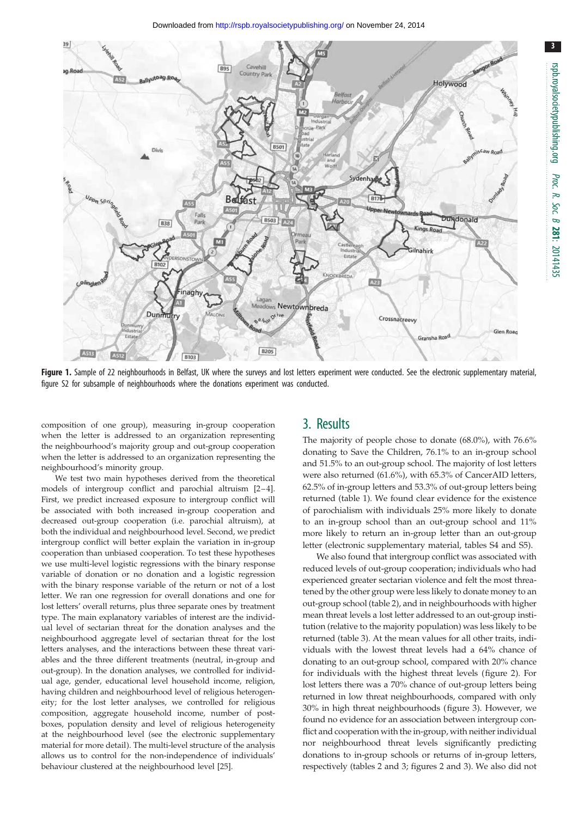<span id="page-2-0"></span>

Figure 1. Sample of 22 neighbourhoods in Belfast, UK where the surveys and lost letters experiment were conducted. See the electronic supplementary material, figure S2 for subsample of neighbourhoods where the donations experiment was conducted.

composition of one group), measuring in-group cooperation when the letter is addressed to an organization representing the neighbourhood's majority group and out-group cooperation when the letter is addressed to an organization representing the neighbourhood's minority group.

We test two main hypotheses derived from the theoretical models of intergroup conflict and parochial altruism [\[2](#page-6-0)-4]. First, we predict increased exposure to intergroup conflict will be associated with both increased in-group cooperation and decreased out-group cooperation (i.e. parochial altruism), at both the individual and neighbourhood level. Second, we predict intergroup conflict will better explain the variation in in-group cooperation than unbiased cooperation. To test these hypotheses we use multi-level logistic regressions with the binary response variable of donation or no donation and a logistic regression with the binary response variable of the return or not of a lost letter. We ran one regression for overall donations and one for lost letters' overall returns, plus three separate ones by treatment type. The main explanatory variables of interest are the individual level of sectarian threat for the donation analyses and the neighbourhood aggregate level of sectarian threat for the lost letters analyses, and the interactions between these threat variables and the three different treatments (neutral, in-group and out-group). In the donation analyses, we controlled for individual age, gender, educational level household income, religion, having children and neighbourhood level of religious heterogeneity; for the lost letter analyses, we controlled for religious composition, aggregate household income, number of postboxes, population density and level of religious heterogeneity at the neighbourhood level (see the electronic supplementary material for more detail). The multi-level structure of the analysis allows us to control for the non-independence of individuals' behaviour clustered at the neighbourhood level [[25](#page-7-0)].

# 3. Results

The majority of people chose to donate (68.0%), with 76.6% donating to Save the Children, 76.1% to an in-group school and 51.5% to an out-group school. The majority of lost letters were also returned (61.6%), with 65.3% of CancerAID letters, 62.5% of in-group letters and 53.3% of out-group letters being returned ([table 1](#page-3-0)). We found clear evidence for the existence of parochialism with individuals 25% more likely to donate to an in-group school than an out-group school and 11% more likely to return an in-group letter than an out-group letter (electronic supplementary material, tables S4 and S5).

We also found that intergroup conflict was associated with reduced levels of out-group cooperation; individuals who had experienced greater sectarian violence and felt the most threatened by the other group were less likely to donate money to an out-group school ([table 2](#page-3-0)), and in neighbourhoods with higher mean threat levels a lost letter addressed to an out-group institution (relative to the majority population) was less likely to be returned ([table 3](#page-4-0)). At the mean values for all other traits, individuals with the lowest threat levels had a 64% chance of donating to an out-group school, compared with 20% chance for individuals with the highest threat levels [\(figure 2\)](#page-4-0). For lost letters there was a 70% chance of out-group letters being returned in low threat neighbourhoods, compared with only 30% in high threat neighbourhoods ([figure 3](#page-5-0)). However, we found no evidence for an association between intergroup conflict and cooperation with the in-group, with neither individual nor neighbourhood threat levels significantly predicting donations to in-group schools or returns of in-group letters, respectively (tables [2](#page-3-0) and [3](#page-4-0); figures [2](#page-4-0) and [3](#page-5-0)). We also did not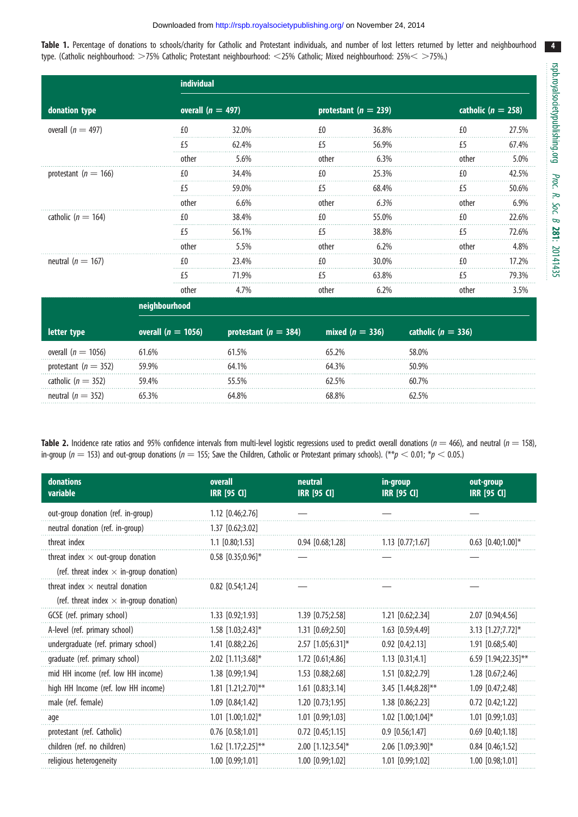### Downloaded from<http://rspb.royalsocietypublishing.org/>on November 24, 2014

<span id="page-3-0"></span>Table 1. Percentage of donations to schools/charity for Catholic and Protestant individuals, and number of lost letters returned by letter and neighbourhood type. (Catholic neighbourhood:  $>$ 75% Catholic; Protestant neighbourhood: <25% Catholic; Mixed neighbourhood: 25% <  $>$ 75%.)

|                          | individual             |                          |                          |                   |                        |                        |       |
|--------------------------|------------------------|--------------------------|--------------------------|-------------------|------------------------|------------------------|-------|
| donation type            | overall $(n = 497)$    |                          | protestant ( $n = 239$ ) |                   |                        | catholic ( $n = 258$ ) |       |
| overall $(n = 497)$      | £0                     | 32.0%                    | £0                       | 36.8%             |                        | £0                     | 27.5% |
|                          | £5                     | 62.4%                    | £5                       | 56.9%             |                        | £5                     | 67.4% |
|                          | other                  | 5.6%                     | other                    | 6.3%              |                        | other                  | 5.0%  |
| protestant ( $n = 166$ ) | £0                     | 34.4%                    | £0                       | 25.3%             |                        | £0                     | 42.5% |
|                          | f5                     | 59.0%                    | £5                       | 68.4%             |                        | £5                     | 50.6% |
|                          | other                  | 6.6%                     | other                    | 6.3%              |                        | other                  | 6.9%  |
| catholic ( $n = 164$ )   | £0                     | 38.4%                    | £0                       | 55.0%             |                        | £0                     | 22.6% |
|                          | £5                     | 56.1%                    | £5                       | 38.8%             |                        | £5                     | 72.6% |
|                          | other                  | 5.5%                     | other                    | 6.2%              |                        | other                  | 4.8%  |
| neutral ( $n = 167$ )    | £0                     | 23.4%                    | £0                       | 30.0%             |                        | £0                     | 17.2% |
|                          | f5                     | 71.9%                    | £5                       | 63.8%             |                        | £5                     | 79.3% |
|                          | other                  | 4.7%                     | other                    | 6.2%              |                        | other                  | 3.5%  |
|                          | neighbourhood          |                          |                          |                   |                        |                        |       |
| letter type              | overall ( $n = 1056$ ) | protestant ( $n = 384$ ) |                          | mixed $(n = 336)$ | catholic ( $n = 336$ ) |                        |       |
| overall ( $n = 1056$ )   | 61.6%                  | 61.5%                    | 65.2%                    |                   | 58.0%                  |                        |       |
| protestant ( $n = 352$ ) | 59.9%                  | 64.1%                    | 64.3%                    |                   | 50.9%                  |                        |       |
| catholic ( $n = 352$ )   | 59.4%                  | 55.5%                    | 62.5%                    |                   | 60.7%                  |                        |       |
| neutral ( $n = 352$ )    | 65.3%                  | 64.8%                    | 68.8%                    |                   | 62.5%                  |                        |       |

**Table 2.** Incidence rate ratios and 95% confidence intervals from multi-level logistic regressions used to predict overall donations ( $n = 466$ ), and neutral ( $n = 158$ ), in-group ( $n = 153$ ) and out-group donations ( $n = 155$ ; Save the Children, Catholic or Protestant primary schools). (\*\*p < 0.01; \*p < 0.05.)

| donations<br>variable                          | overall<br><b>IRR [95 CI]</b> | neutral<br><b>IRR [95 CI]</b> | in-group<br><b>IRR [95 CI]</b> | out-group<br><b>IRR [95 CI]</b> |
|------------------------------------------------|-------------------------------|-------------------------------|--------------------------------|---------------------------------|
| out-group donation (ref. in-group)             | 1.12 [0.46;2.76]              |                               |                                |                                 |
| neutral donation (ref. in-group)               | 1.37 [0.62;3.02]              |                               |                                |                                 |
| threat index                                   | $1.1$ [0.80;1.53]             | $0.94$ $[0.68:1.28]$          | $1.13$ [0.77;1.67]             | $0.63$ [0.40;1.00]*             |
| threat index $\times$ out-group donation       | $0.58$ [0.35;0.96]*           |                               |                                |                                 |
| (ref. threat index $\times$ in-group donation) |                               |                               |                                |                                 |
| threat index $\times$ neutral donation         | $0.82$ [0.54;1.24]            |                               |                                |                                 |
| (ref. threat index $\times$ in-group donation) |                               |                               |                                |                                 |
| GCSE (ref. primary school)                     | 1.33 [0.92;1.93]              | 1.39 [0.75;2.58]              | $1.21$ $[0.62;2.34]$           | 2.07 [0.94;4.56]                |
| A-level (ref. primary school)                  | 1.58 [1.03;2.43]*             | 1.31 [0.69;2.50]              | 1.63 [0.59;4.49]               | 3.13 [1.27;7.72]*               |
| undergraduate (ref. primary school)            | 1.41 [0.88;2.26]              | 2.57 [1.05;6.31]*             | $0.92$ $[0.4;2.13]$            | 1.91 [0.68;5.40]                |
| graduate (ref. primary school)                 | 2.02 [1.11;3.68]*             | $1.72$ [0.61;4.86]            | $1.13$ $[0.31;4.1]$            | 6.59 $[1.94;22.35]$ **          |
| mid HH income (ref. low HH income)             | 1.38 [0.99;1.94]              | $1.53$ [0.88;2.68]            | 1.51 [0.82;2.79]               | $1.28$ [0.67;2.46]              |
| high HH Income (ref. low HH income)            | $1.81$ [1.21;2.70]**          | $1.61$ [0.83;3.14]            | 3.45 [1.44;8.28]**             | 1.09 [0.47;2.48]                |
| male (ref. female)                             | 1.09 [0.84:1.42]              | $1.20$ [0.73;1.95]            | 1.38 [0.86;2.23]               | $0.72$ [0.42;1.22]              |
| age                                            | $1.01$ [1.00;1.02]*           | 1.01 [0.99;1.03]              | $1.02$ [1.00;1.04]*            | $1.01$ [0.99;1.03]              |
| protestant (ref. Catholic)                     | $0.76$ [0.58;1.01]            | $0.72$ [0.45;1.15]            | $0.9$ [0.56;1.47]              | $0.69$ [0.40;1.18]              |
| children (ref. no children)                    | $1.62$ [1.17;2.25]**          | $2.00$ [1.12;3.54]*           | $2.06$ [1.09;3.90]*            | $0.84$ [0.46;1.52]              |
| religious heterogeneity                        | 1.00 [0.99;1.01]              | $1.00$ [0.99;1.02]            | 1.01 [0.99;1.02]               | 1.00 [0.98;1.01]                |

4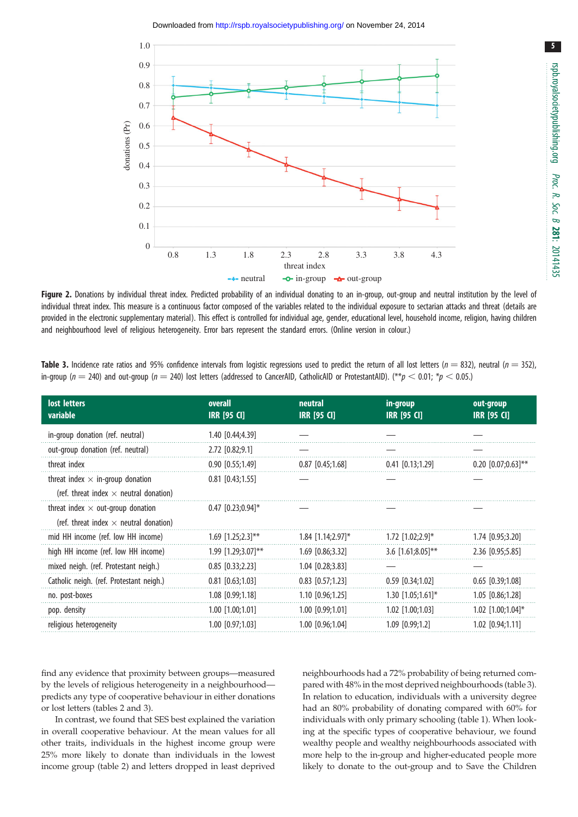Downloaded from<http://rspb.royalsocietypublishing.org/>on November 24, 2014

<span id="page-4-0"></span>

Figure 2. Donations by individual threat index. Predicted probability of an individual donating to an in-group, out-group and neutral institution by the level of individual threat index. This measure is a continuous factor composed of the variables related to the individual exposure to sectarian attacks and threat (details are provided in the electronic supplementary material). This effect is controlled for individual age, gender, educational level, household income, religion, having children and neighbourhood level of religious heterogeneity. Error bars represent the standard errors. (Online version in colour.)

| donations (Pr)<br>0.6<br>0.5<br>0.4<br>0.3<br>0.2<br>0.1<br>$\boldsymbol{0}$<br>0.8                                                                                                                                                                                                                                                                                                                                                                                                                                                                                                                                                                                                                                                                                                                                                                                                                                                                                                                          | 1.3<br>1.8          | 2.8<br>2.3<br>3.3                                              | 4.3<br>3.8         |                      |
|--------------------------------------------------------------------------------------------------------------------------------------------------------------------------------------------------------------------------------------------------------------------------------------------------------------------------------------------------------------------------------------------------------------------------------------------------------------------------------------------------------------------------------------------------------------------------------------------------------------------------------------------------------------------------------------------------------------------------------------------------------------------------------------------------------------------------------------------------------------------------------------------------------------------------------------------------------------------------------------------------------------|---------------------|----------------------------------------------------------------|--------------------|----------------------|
|                                                                                                                                                                                                                                                                                                                                                                                                                                                                                                                                                                                                                                                                                                                                                                                                                                                                                                                                                                                                              | -+- neutral         | threat index<br>$\rightarrow$ in-group $\rightarrow$ out-group |                    |                      |
| Figure 2. Donations by individual threat index. Predicted probability of an individual donating to an in-group, out-group and neutral institution by the level o<br>individual threat index. This measure is a continuous factor composed of the variables related to the individual exposure to sectarian attacks and threat (details are<br>provided in the electronic supplementary material). This effect is controlled for individual age, gender, educational level, household income, religion, having childrer<br>and neighbourhood level of religious heterogeneity. Error bars represent the standard errors. (Online version in colour.)<br>Table 3. Incidence rate ratios and 95% confidence intervals from logistic regressions used to predict the return of all lost letters ( $n = 832$ ), neutral ( $n = 352$ )<br>in-group ( $n = 240$ ) and out-group ( $n = 240$ ) lost letters (addressed to CancerAID, CatholicAID or ProtestantAID). (** $p < 0.01$ ; * $p < 0.05$ .)<br>lost letters | overall             | neutral                                                        | in-group           | out-group            |
| variable                                                                                                                                                                                                                                                                                                                                                                                                                                                                                                                                                                                                                                                                                                                                                                                                                                                                                                                                                                                                     | <b>IRR [95 CI]</b>  | <b>IRR [95 CI]</b>                                             | <b>IRR [95 CI]</b> | <b>IRR [95 CI]</b>   |
| in-group donation (ref. neutral)                                                                                                                                                                                                                                                                                                                                                                                                                                                                                                                                                                                                                                                                                                                                                                                                                                                                                                                                                                             | 1.40 [0.44;4.39]    |                                                                |                    |                      |
| out-group donation (ref. neutral)                                                                                                                                                                                                                                                                                                                                                                                                                                                                                                                                                                                                                                                                                                                                                                                                                                                                                                                                                                            | 2.72 [0.82;9.1]     |                                                                |                    |                      |
| threat index                                                                                                                                                                                                                                                                                                                                                                                                                                                                                                                                                                                                                                                                                                                                                                                                                                                                                                                                                                                                 | 0.90 [0.55;1.49]    | 0.87 [0.45;1.68]                                               | 0.41 [0.13;1.29]   | $0.20$ [0.07;0.63]** |
| threat index $\times$ in-group donation<br>(ref. threat index $\times$ neutral donation)                                                                                                                                                                                                                                                                                                                                                                                                                                                                                                                                                                                                                                                                                                                                                                                                                                                                                                                     | $0.81$ [0.43;1.55]  |                                                                |                    |                      |
| threat index $\times$ out-group donation<br>(ref. threat index $\times$ neutral donation)                                                                                                                                                                                                                                                                                                                                                                                                                                                                                                                                                                                                                                                                                                                                                                                                                                                                                                                    | $0.47$ [0.23;0.94]* |                                                                |                    |                      |
| mid HH income (ref. low HH income)                                                                                                                                                                                                                                                                                                                                                                                                                                                                                                                                                                                                                                                                                                                                                                                                                                                                                                                                                                           | 1.69 [1.25;2.3]**   | 1.84 [1.14;2.97]*                                              | 1.72 [1.02;2.9]*   | 1.74 [0.95;3.20]     |
| high HH income (ref. low HH income)                                                                                                                                                                                                                                                                                                                                                                                                                                                                                                                                                                                                                                                                                                                                                                                                                                                                                                                                                                          | 1.99 [1.29;3.07]**  | 1.69 [0.86;3.32]                                               | 3.6 [1.61;8.05]**  | 2.36 [0.95;5.85]     |
| mixed neigh. (ref. Protestant neigh.)                                                                                                                                                                                                                                                                                                                                                                                                                                                                                                                                                                                                                                                                                                                                                                                                                                                                                                                                                                        | 0.85 [0.33;2.23]    | 1.04 [0.28;3.83]                                               |                    |                      |
| Catholic neigh. (ref. Protestant neigh.)                                                                                                                                                                                                                                                                                                                                                                                                                                                                                                                                                                                                                                                                                                                                                                                                                                                                                                                                                                     | $0.81$ [0.63;1.03]  | $0.83$ [0.57;1.23]                                             | 0.59 [0.34;1.02]   | 0.65 [0.39;1.08]     |
| no. post-boxes                                                                                                                                                                                                                                                                                                                                                                                                                                                                                                                                                                                                                                                                                                                                                                                                                                                                                                                                                                                               | 1.08 [0.99;1.18]    | 1.10 [0.96;1.25]                                               | 1.30 [1.05;1.61]*  | 1.05 [0.86;1.28]     |
| pop. density                                                                                                                                                                                                                                                                                                                                                                                                                                                                                                                                                                                                                                                                                                                                                                                                                                                                                                                                                                                                 |                     |                                                                |                    |                      |
|                                                                                                                                                                                                                                                                                                                                                                                                                                                                                                                                                                                                                                                                                                                                                                                                                                                                                                                                                                                                              | 1.00 [1.00;1.01]    | 1.00 [0.99;1.01]                                               | 1.02 [1.00;1.03]   | $1.02$ [1.00;1.04]*  |

find any evidence that proximity between groups—measured by the levels of religious heterogeneity in a neighbourhood predicts any type of cooperative behaviour in either donations or lost letters ([tables 2](#page-3-0) and 3).

In contrast, we found that SES best explained the variation in overall cooperative behaviour. At the mean values for all other traits, individuals in the highest income group were 25% more likely to donate than individuals in the lowest income group [\(table 2\)](#page-3-0) and letters dropped in least deprived neighbourhoods had a 72% probability of being returned compared with 48% in the most deprived neighbourhoods (table 3). In relation to education, individuals with a university degree had an 80% probability of donating compared with 60% for individuals with only primary schooling [\(table 1](#page-3-0)). When looking at the specific types of cooperative behaviour, we found wealthy people and wealthy neighbourhoods associated with more help to the in-group and higher-educated people more likely to donate to the out-group and to Save the Children 5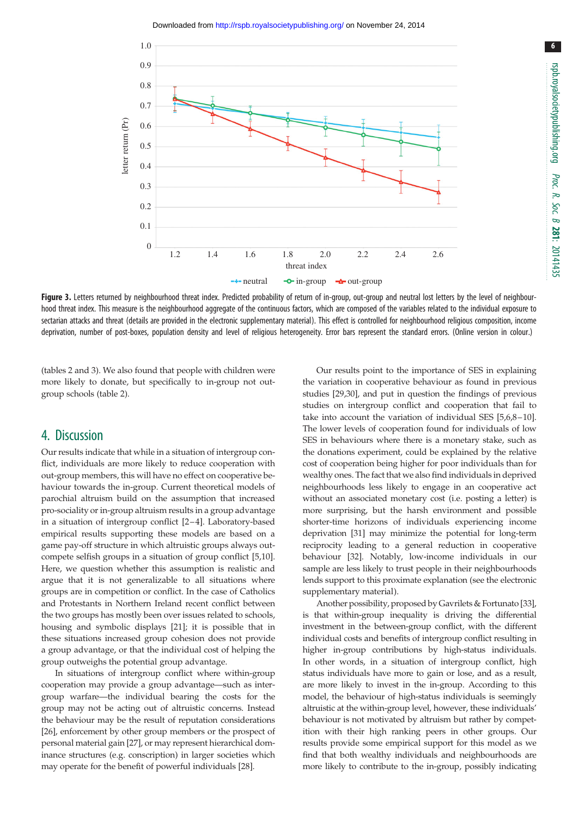6

Downloaded from<http://rspb.royalsocietypublishing.org/>on November 24, 2014

<span id="page-5-0"></span>

Figure 3. Letters returned by neighbourhood threat index. Predicted probability of return of in-group, out-group and neutral lost letters by the level of neighbourhood threat index. This measure is the neighbourhood aggregate of the continuous factors, which are composed of the variables related to the individual exposure to sectarian attacks and threat (details are provided in the electronic supplementary material). This effect is controlled for neighbourhood religious composition, income deprivation, number of post-boxes, population density and level of religious heterogeneity. Error bars represent the standard errors. (Online version in colour.)

[\(tables 2](#page-3-0) and [3\)](#page-4-0). We also found that people with children were more likely to donate, but specifically to in-group not outgroup schools ([table 2](#page-3-0)).

## 4. Discussion

Our results indicate that while in a situation of intergroup conflict, individuals are more likely to reduce cooperation with out-group members, this will have no effect on cooperative behaviour towards the in-group. Current theoretical models of parochial altruism build on the assumption that increased pro-sociality or in-group altruism results in a group advantage in a situation of intergroup conflict [\[2](#page-6-0)-4]. Laboratory-based empirical results supporting these models are based on a game pay-off structure in which altruistic groups always outcompete selfish groups in a situation of group conflict [[5,10](#page-6-0)]. Here, we question whether this assumption is realistic and argue that it is not generalizable to all situations where groups are in competition or conflict. In the case of Catholics and Protestants in Northern Ireland recent conflict between the two groups has mostly been over issues related to schools, housing and symbolic displays [[21\]](#page-7-0); it is possible that in these situations increased group cohesion does not provide a group advantage, or that the individual cost of helping the group outweighs the potential group advantage.

In situations of intergroup conflict where within-group cooperation may provide a group advantage—such as intergroup warfare—the individual bearing the costs for the group may not be acting out of altruistic concerns. Instead the behaviour may be the result of reputation considerations [\[26](#page-7-0)], enforcement by other group members or the prospect of personal material gain [\[27](#page-7-0)], or may represent hierarchical dominance structures (e.g. conscription) in larger societies which may operate for the benefit of powerful individuals [\[28](#page-7-0)].

Our results point to the importance of SES in explaining the variation in cooperative behaviour as found in previous studies [\[29](#page-7-0),[30](#page-7-0)], and put in question the findings of previous studies on intergroup conflict and cooperation that fail to take into account the variation of individual SES [[5,6,8](#page-6-0)–[10\]](#page-6-0). The lower levels of cooperation found for individuals of low SES in behaviours where there is a monetary stake, such as the donations experiment, could be explained by the relative cost of cooperation being higher for poor individuals than for wealthy ones. The fact that we also find individuals in deprived neighbourhoods less likely to engage in an cooperative act without an associated monetary cost (i.e. posting a letter) is more surprising, but the harsh environment and possible shorter-time horizons of individuals experiencing income deprivation [\[31](#page-7-0)] may minimize the potential for long-term reciprocity leading to a general reduction in cooperative behaviour [[32\]](#page-7-0). Notably, low-income individuals in our sample are less likely to trust people in their neighbourhoods lends support to this proximate explanation (see the electronic supplementary material).

Another possibility, proposed by Gavrilets & Fortunato [[33\]](#page-7-0), is that within-group inequality is driving the differential investment in the between-group conflict, with the different individual costs and benefits of intergroup conflict resulting in higher in-group contributions by high-status individuals. In other words, in a situation of intergroup conflict, high status individuals have more to gain or lose, and as a result, are more likely to invest in the in-group. According to this model, the behaviour of high-status individuals is seemingly altruistic at the within-group level, however, these individuals' behaviour is not motivated by altruism but rather by competition with their high ranking peers in other groups. Our results provide some empirical support for this model as we find that both wealthy individuals and neighbourhoods are more likely to contribute to the in-group, possibly indicating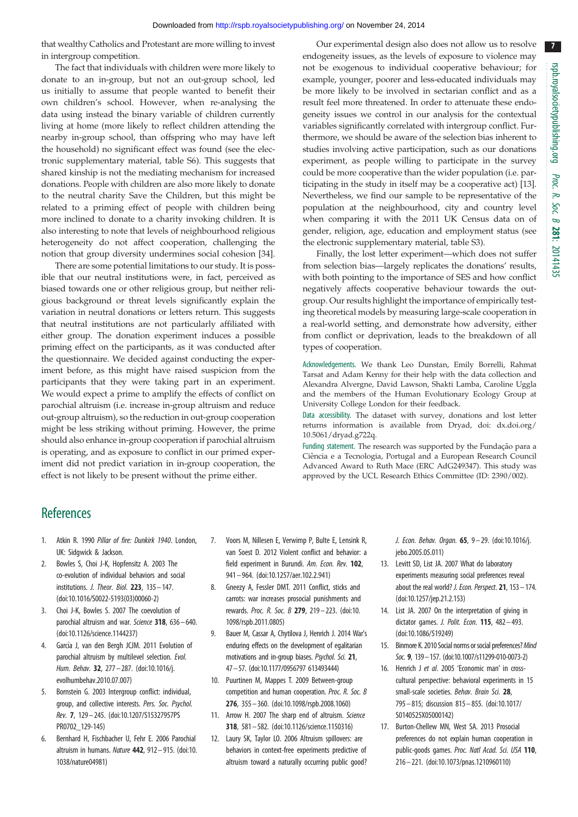<span id="page-6-0"></span>that wealthy Catholics and Protestant are more willing to invest in intergroup competition.

The fact that individuals with children were more likely to donate to an in-group, but not an out-group school, led us initially to assume that people wanted to benefit their own children's school. However, when re-analysing the data using instead the binary variable of children currently living at home (more likely to reflect children attending the nearby in-group school, than offspring who may have left the household) no significant effect was found (see the electronic supplementary material, table S6). This suggests that shared kinship is not the mediating mechanism for increased donations. People with children are also more likely to donate to the neutral charity Save the Children, but this might be related to a priming effect of people with children being more inclined to donate to a charity invoking children. It is also interesting to note that levels of neighbourhood religious heterogeneity do not affect cooperation, challenging the notion that group diversity undermines social cohesion [\[34](#page-7-0)].

There are some potential limitations to our study. It is possible that our neutral institutions were, in fact, perceived as biased towards one or other religious group, but neither religious background or threat levels significantly explain the variation in neutral donations or letters return. This suggests that neutral institutions are not particularly affiliated with either group. The donation experiment induces a possible priming effect on the participants, as it was conducted after the questionnaire. We decided against conducting the experiment before, as this might have raised suspicion from the participants that they were taking part in an experiment. We would expect a prime to amplify the effects of conflict on parochial altruism (i.e. increase in-group altruism and reduce out-group altruism), so the reduction in out-group cooperation might be less striking without priming. However, the prime should also enhance in-group cooperation if parochial altruism is operating, and as exposure to conflict in our primed experiment did not predict variation in in-group cooperation, the effect is not likely to be present without the prime either.

Our experimental design also does not allow us to resolve endogeneity issues, as the levels of exposure to violence may not be exogenous to individual cooperative behaviour; for example, younger, poorer and less-educated individuals may be more likely to be involved in sectarian conflict and as a result feel more threatened. In order to attenuate these endogeneity issues we control in our analysis for the contextual variables significantly correlated with intergroup conflict. Furthermore, we should be aware of the selection bias inherent to studies involving active participation, such as our donations experiment, as people willing to participate in the survey could be more cooperative than the wider population (i.e. participating in the study in itself may be a cooperative act) [13]. Nevertheless, we find our sample to be representative of the population at the neighbourhood, city and country level when comparing it with the 2011 UK Census data on of gender, religion, age, education and employment status (see the electronic supplementary material, table S3).

Finally, the lost letter experiment—which does not suffer from selection bias—largely replicates the donations' results, with both pointing to the importance of SES and how conflict negatively affects cooperative behaviour towards the outgroup. Our results highlight the importance of empirically testing theoretical models by measuring large-scale cooperation in a real-world setting, and demonstrate how adversity, either from conflict or deprivation, leads to the breakdown of all types of cooperation.

Acknowledgements. We thank Leo Dunstan, Emily Borrelli, Rahmat Tarsat and Adam Kenny for their help with the data collection and Alexandra Alvergne, David Lawson, Shakti Lamba, Caroline Uggla and the members of the Human Evolutionary Ecology Group at University College London for their feedback.

Data accessibility. The dataset with survey, donations and lost letter returns information is available from Dryad, doi: [dx.doi.org/](http://dx.doi.org/10.5061/dryad.g722q) [10.5061/dryad.g722q](http://dx.doi.org/10.5061/dryad.g722q).

Funding statement. The research was supported by the Fundação para a Ciência e a Tecnologia, Portugal and a European Research Council Advanced Award to Ruth Mace (ERC AdG249347). This study was approved by the UCL Research Ethics Committee (ID: 2390/002).

# **References**

- 1. Atkin R. 1990 Pillar of fire: Dunkirk 1940. London, UK: Sidgwick & Jackson.
- 2. Bowles S, Choi J-K, Hopfensitz A. 2003 The co-evolution of individual behaviors and social institutions. J. Theor. Biol. 223, 135– 147. [\(doi:10.1016/S0022-5193\(03\)00060-2](http://dx.doi.org/10.1016/S0022-5193(03)00060-2))
- 3. Choi J-K, Bowles S. 2007 The coevolution of parochial altruism and war. Science 318, 636 - 640. [\(doi:10.1126/science.1144237\)](http://dx.doi.org/10.1126/science.1144237)
- García J, van den Bergh JCJM. 2011 Evolution of parochial altruism by multilevel selection. Evol. Hum. Behav. 32, 277-287. [\(doi:10.1016/j.](http://dx.doi.org/10.1016/j.evolhumbehav.2010.07.007) [evolhumbehav.2010.07.007\)](http://dx.doi.org/10.1016/j.evolhumbehav.2010.07.007)
- 5. Bornstein G. 2003 Intergroup conflict: individual, group, and collective interests. Pers. Soc. Psychol. Rev. 7, 129– 245. [\(doi:10.1207/S15327957PS](http://dx.doi.org/10.1207/S15327957PSPR0702_129-145) [PR0702\\_129-145\)](http://dx.doi.org/10.1207/S15327957PSPR0702_129-145)
- 6. Bernhard H, Fischbacher U, Fehr E. 2006 Parochial altruism in humans. Nature  $442$ ,  $912-915$ . ([doi:10.](http://dx.doi.org/10.1038/nature04981) [1038/nature04981](http://dx.doi.org/10.1038/nature04981))
- 7. Voors M, Nillesen E, Verwimp P, Bulte E, Lensink R, van Soest D. 2012 Violent conflict and behavior: a field experiment in Burundi. Am. Econ. Rev. 102, 941 – 964. [\(doi:10.1257/aer.102.2.941](http://dx.doi.org/10.1257/aer.102.2.941))
- 8. Gneezy A, Fessler DMT. 2011 Conflict, sticks and carrots: war increases prosocial punishments and rewards. Proc. R. Soc. B 279, 219 – 223. ([doi:10.](http://dx.doi.org/10.1098/rspb.2011.0805) [1098/rspb.2011.0805\)](http://dx.doi.org/10.1098/rspb.2011.0805)
- 9. Bauer M, Cassar A, Chytilova J, Henrich J. 2014 War's enduring effects on the development of egalitarian motivations and in-group biases. Psychol. Sci. 21, 47–57. ([doi:10.1177/0956797 613493444](http://dx.doi.org/10.1177/0956797613493444))
- 10. Puurtinen M, Mappes T. 2009 Between-group competition and human cooperation. Proc. R. Soc. B 276, 355 – 360. [\(doi:10.1098/rspb.2008.1060\)](http://dx.doi.org/10.1098/rspb.2008.1060)
- 11. Arrow H. 2007 The sharp end of altruism. Science 318, 581 – 582. [\(doi:10.1126/science.1150316](http://dx.doi.org/10.1126/science.1150316))
- 12. Laury SK, Taylor LO. 2006 Altruism spillovers: are behaviors in context-free experiments predictive of altruism toward a naturally occurring public good?

J. Econ. Behav. Organ. 65, 9 – 29. [\(doi:10.1016/j.](http://dx.doi.org/10.1016/j.jebo.2005.05.011) [jebo.2005.05.011\)](http://dx.doi.org/10.1016/j.jebo.2005.05.011)

- 13. Levitt SD, List JA. 2007 What do laboratory experiments measuring social preferences reveal about the real world? J. Econ. Perspect. 21, 153 - 174. ([doi:10.1257/jep.21.2.153](http://dx.doi.org/10.1257/jep.21.2.153))
- 14. List JA. 2007 On the interpretation of giving in dictator games. J. Polit. Econ. 115, 482-493. ([doi:10.1086/519249\)](http://dx.doi.org/10.1086/519249)
- 15. Binmore K. 2010 Social norms or social preferences? Mind Soc. 9, 139–157. [\(doi:10.1007/s11299-010-0073-2\)](http://dx.doi.org/10.1007/s11299-010-0073-2)
- 16. Henrich J et al. 2005 'Economic man' in crosscultural perspective: behavioral experiments in 15 small-scale societies. Behav. Brain Sci. 28, 795– 815; discussion 815 – 855. ([doi:10.1017/](http://dx.doi.org/10.1017/S0140525X05000142) [S0140525X05000142](http://dx.doi.org/10.1017/S0140525X05000142))
- 17. Burton-Chellew MN, West SA. 2013 Prosocial preferences do not explain human cooperation in public-goods games. Proc. Natl Acad. Sci. USA 110, 216– 221. [\(doi:10.1073/pnas.1210960110](http://dx.doi.org/10.1073/pnas.1210960110))

7